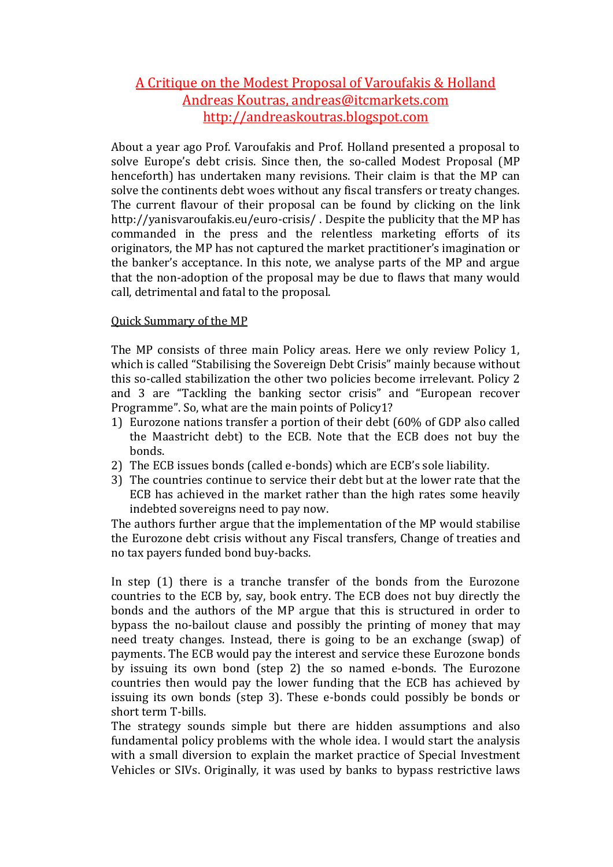# A Critique on the Modest Proposal of Varoufakis & Holland Andreas Koutras, andreas@itcmarkets.com http://andreaskoutras.blogspot.com

About a year ago Prof. Varoufakis and Prof. Holland presented a proposal to solve Europe's debt crisis. Since then, the so-called Modest Proposal (MP henceforth) has undertaken many revisions. Their claim is that the MP can solve the continents debt woes without any fiscal transfers or treaty changes. The current flavour of their proposal can be found by clicking on the link http://yanisvaroufakis.eu/euro-crisis/ . Despite the publicity that the MP has commanded in the press and the relentless marketing efforts of its originators, the MP has not captured the market practitioner's imagination or the banker's acceptance. In this note, we analyse parts of the MP and argue that the non-adoption of the proposal may be due to flaws that many would call, detrimental and fatal to the proposal.

# Quick Summary of the MP

The MP consists of three main Policy areas. Here we only review Policy 1, which is called "Stabilising the Sovereign Debt Crisis" mainly because without this so-called stabilization the other two policies become irrelevant. Policy 2 and 3 are "Tackling the banking sector crisis" and "European recover Programme". So, what are the main points of Policy1?

- 1) Eurozone nations transfer a portion of their debt (60% of GDP also called the Maastricht debt) to the ECB. Note that the ECB does not buy the bonds.
- 2) The ECB issues bonds (called e-bonds) which are ECB's sole liability.
- 3) The countries continue to service their debt but at the lower rate that the ECB has achieved in the market rather than the high rates some heavily indebted sovereigns need to pay now.

The authors further argue that the implementation of the MP would stabilise the Eurozone debt crisis without any Fiscal transfers, Change of treaties and no tax payers funded bond buy-backs.

In step (1) there is a tranche transfer of the bonds from the Eurozone countries to the ECB by, say, book entry. The ECB does not buy directly the bonds and the authors of the MP argue that this is structured in order to bypass the no-bailout clause and possibly the printing of money that may need treaty changes. Instead, there is going to be an exchange (swap) of payments. The ECB would pay the interest and service these Eurozone bonds by issuing its own bond (step 2) the so named e-bonds. The Eurozone countries then would pay the lower funding that the ECB has achieved by issuing its own bonds (step 3). These e-bonds could possibly be bonds or short term T-bills.

The strategy sounds simple but there are hidden assumptions and also fundamental policy problems with the whole idea. I would start the analysis with a small diversion to explain the market practice of Special Investment Vehicles or SIVs. Originally, it was used by banks to bypass restrictive laws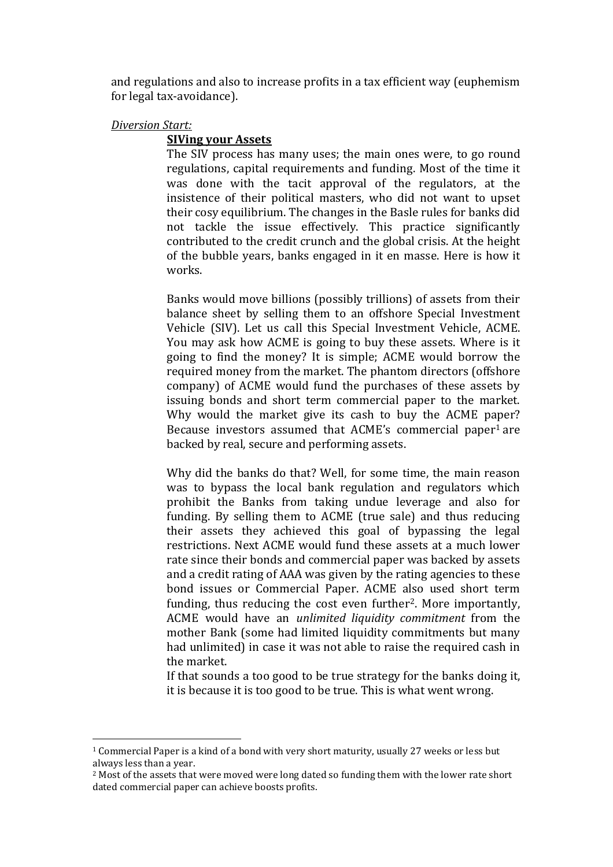and regulations and also to increase profits in a tax efficient way (euphemism for legal tax-avoidance).

# *Diversion Start:*

 $\overline{\phantom{a}}$ 

# **SIVing your Assets**

The SIV process has many uses; the main ones were, to go round regulations, capital requirements and funding. Most of the time it was done with the tacit approval of the regulators, at the insistence of their political masters, who did not want to upset their cosy equilibrium. The changes in the Basle rules for banks did not tackle the issue effectively. This practice significantly contributed to the credit crunch and the global crisis. At the height of the bubble years, banks engaged in it en masse. Here is how it works.

Banks would move billions (possibly trillions) of assets from their balance sheet by selling them to an offshore Special Investment Vehicle (SIV). Let us call this Special Investment Vehicle, ACME. You may ask how ACME is going to buy these assets. Where is it going to find the money? It is simple; ACME would borrow the required money from the market. The phantom directors (offshore company) of ACME would fund the purchases of these assets by issuing bonds and short term commercial paper to the market. Why would the market give its cash to buy the ACME paper? Because investors assumed that ACME's commercial paper<sup>1</sup> are backed by real, secure and performing assets.

Why did the banks do that? Well, for some time, the main reason was to bypass the local bank regulation and regulators which prohibit the Banks from taking undue leverage and also for funding. By selling them to ACME (true sale) and thus reducing their assets they achieved this goal of bypassing the legal restrictions. Next ACME would fund these assets at a much lower rate since their bonds and commercial paper was backed by assets and a credit rating of AAA was given by the rating agencies to these bond issues or Commercial Paper. ACME also used short term funding, thus reducing the cost even further<sup>2</sup>. More importantly, ACME would have an *unlimited liquidity commitment* from the mother Bank (some had limited liquidity commitments but many had unlimited) in case it was not able to raise the required cash in the market.

If that sounds a too good to be true strategy for the banks doing it, it is because it is too good to be true. This is what went wrong.

<sup>1</sup> Commercial Paper is a kind of a bond with very short maturity, usually 27 weeks or less but always less than a year.

<sup>&</sup>lt;sup>2</sup> Most of the assets that were moved were long dated so funding them with the lower rate short dated commercial paper can achieve boosts profits.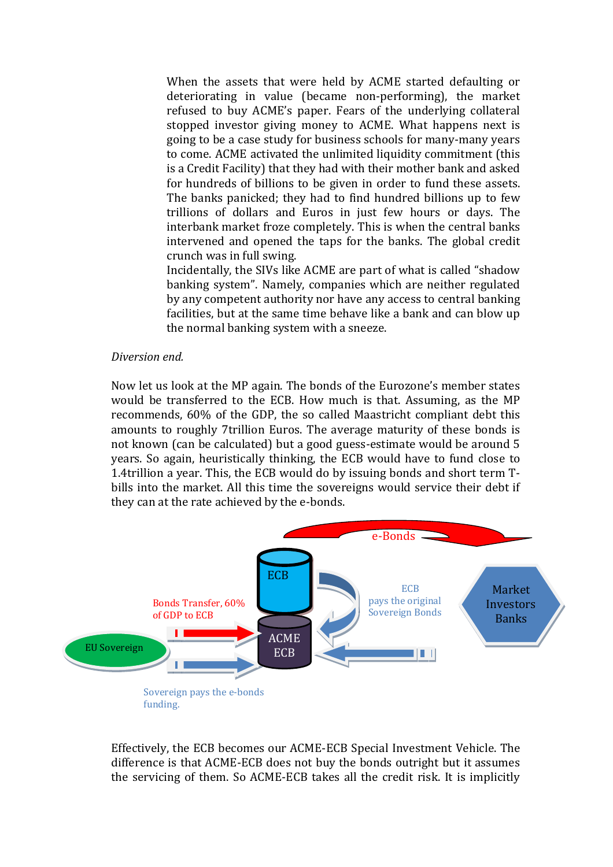When the assets that were held by ACME started defaulting or deteriorating in value (became non-performing), the market refused to buy ACME's paper. Fears of the underlying collateral stopped investor giving money to ACME. What happens next is going to be a case study for business schools for many-many years to come. ACME activated the unlimited liquidity commitment (this is a Credit Facility) that they had with their mother bank and asked for hundreds of billions to be given in order to fund these assets. The banks panicked; they had to find hundred billions up to few trillions of dollars and Euros in just few hours or days. The interbank market froze completely. This is when the central banks intervened and opened the taps for the banks. The global credit crunch was in full swing.

Incidentally, the SIVs like ACME are part of what is called "shadow banking system". Namely, companies which are neither regulated by any competent authority nor have any access to central banking facilities, but at the same time behave like a bank and can blow up the normal banking system with a sneeze.

### *Diversion end.*

Now let us look at the MP again. The bonds of the Eurozone's member states would be transferred to the ECB. How much is that. Assuming, as the MP recommends, 60% of the GDP, the so called Maastricht compliant debt this amounts to roughly 7trillion Euros. The average maturity of these bonds is not known (can be calculated) but a good guess-estimate would be around 5 years. So again, heuristically thinking, the ECB would have to fund close to 1.4trillion a year. This, the ECB would do by issuing bonds and short term Tbills into the market. All this time the sovereigns would service their debt if they can at the rate achieved by the e-bonds.



Effectively, the ECB becomes our ACME-ECB Special Investment Vehicle. The difference is that ACME-ECB does not buy the bonds outright but it assumes the servicing of them. So ACME-ECB takes all the credit risk. It is implicitly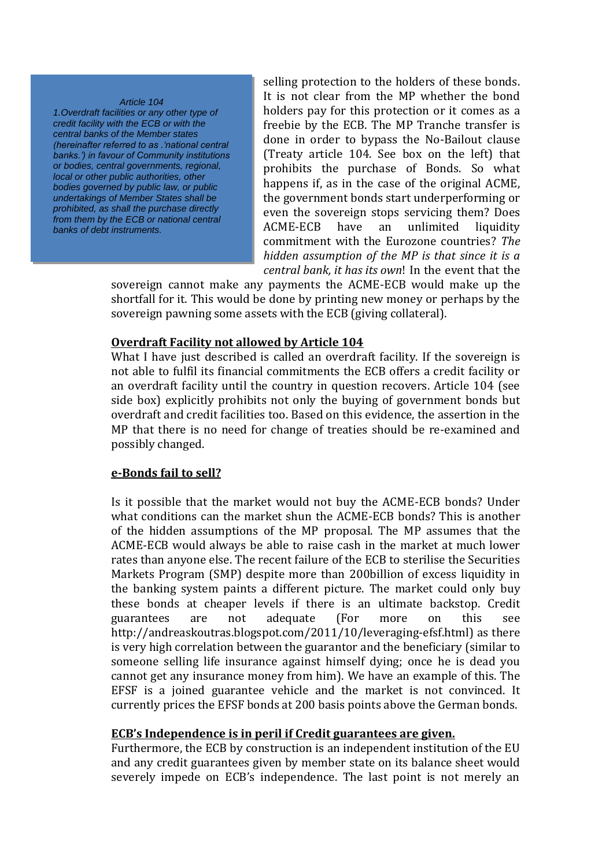#### *Article 104*

*1.Overdraft facilities or any other type of credit facility with the ECB or with the central banks of the Member states (hereinafter referred to as .'national central banks.') in favour of Community institutions or bodies, central governments, regional, local or other public authorities, other bodies governed by public law, or public undertakings of Member States shall be prohibited, as shall the purchase directly from them by the ECB or national central banks of debt instruments.*

selling protection to the holders of these bonds. It is not clear from the MP whether the bond holders pay for this protection or it comes as a freebie by the ECB. The MP Tranche transfer is done in order to bypass the No-Bailout clause (Treaty article 104. See box on the left) that prohibits the purchase of Bonds. So what happens if, as in the case of the original ACME, the government bonds start underperforming or even the sovereign stops servicing them? Does ACME-ECB have an unlimited liquidity commitment with the Eurozone countries? *The hidden assumption of the MP is that since it is a central bank, it has its own*! In the event that the

sovereign cannot make any payments the ACME-ECB would make up the shortfall for it. This would be done by printing new money or perhaps by the sovereign pawning some assets with the ECB (giving collateral).

### **Overdraft Facility not allowed by Article 104**

What I have just described is called an overdraft facility. If the sovereign is not able to fulfil its financial commitments the ECB offers a credit facility or an overdraft facility until the country in question recovers. Article 104 (see side box) explicitly prohibits not only the buying of government bonds but overdraft and credit facilities too. Based on this evidence, the assertion in the MP that there is no need for change of treaties should be re-examined and possibly changed.

# **e-Bonds fail to sell?**

Is it possible that the market would not buy the ACME-ECB bonds? Under what conditions can the market shun the ACME-ECB bonds? This is another of the hidden assumptions of the MP proposal. The MP assumes that the ACME-ECB would always be able to raise cash in the market at much lower rates than anyone else. The recent failure of the ECB to sterilise the Securities Markets Program (SMP) despite more than 200billion of excess liquidity in the banking system paints a different picture. The market could only buy these bonds at cheaper levels if there is an ultimate backstop. Credit guarantees are not adequate (For more on this see http://andreaskoutras.blogspot.com/2011/10/leveraging-efsf.html) as there is very high correlation between the guarantor and the beneficiary (similar to someone selling life insurance against himself dying; once he is dead you cannot get any insurance money from him). We have an example of this. The EFSF is a joined guarantee vehicle and the market is not convinced. It currently prices the EFSF bonds at 200 basis points above the German bonds.

### **ECB's Independence is in peril if Credit guarantees are given.**

Furthermore, the ECB by construction is an independent institution of the EU and any credit guarantees given by member state on its balance sheet would severely impede on ECB's independence. The last point is not merely an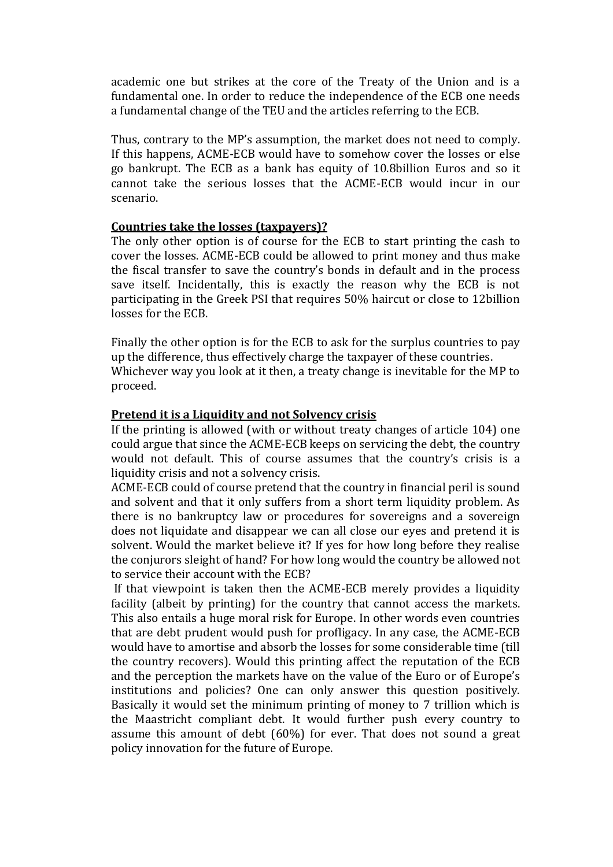academic one but strikes at the core of the Treaty of the Union and is a fundamental one. In order to reduce the independence of the ECB one needs a fundamental change of the TEU and the articles referring to the ECB.

Thus, contrary to the MP's assumption, the market does not need to comply. If this happens, ACME-ECB would have to somehow cover the losses or else go bankrupt. The ECB as a bank has equity of 10.8billion Euros and so it cannot take the serious losses that the ACME-ECB would incur in our scenario.

# **Countries take the losses (taxpayers)?**

The only other option is of course for the ECB to start printing the cash to cover the losses. ACME-ECB could be allowed to print money and thus make the fiscal transfer to save the country's bonds in default and in the process save itself. Incidentally, this is exactly the reason why the ECB is not participating in the Greek PSI that requires 50% haircut or close to 12billion losses for the ECB.

Finally the other option is for the ECB to ask for the surplus countries to pay up the difference, thus effectively charge the taxpayer of these countries. Whichever way you look at it then, a treaty change is inevitable for the MP to proceed.

# **Pretend it is a Liquidity and not Solvency crisis**

If the printing is allowed (with or without treaty changes of article 104) one could argue that since the ACME-ECB keeps on servicing the debt, the country would not default. This of course assumes that the country's crisis is a liquidity crisis and not a solvency crisis.

ACME-ECB could of course pretend that the country in financial peril is sound and solvent and that it only suffers from a short term liquidity problem. As there is no bankruptcy law or procedures for sovereigns and a sovereign does not liquidate and disappear we can all close our eyes and pretend it is solvent. Would the market believe it? If yes for how long before they realise the conjurors sleight of hand? For how long would the country be allowed not to service their account with the ECB?

If that viewpoint is taken then the ACME-ECB merely provides a liquidity facility (albeit by printing) for the country that cannot access the markets. This also entails a huge moral risk for Europe. In other words even countries that are debt prudent would push for profligacy. In any case, the ACME-ECB would have to amortise and absorb the losses for some considerable time (till the country recovers). Would this printing affect the reputation of the ECB and the perception the markets have on the value of the Euro or of Europe's institutions and policies? One can only answer this question positively. Basically it would set the minimum printing of money to 7 trillion which is the Maastricht compliant debt. It would further push every country to assume this amount of debt (60%) for ever. That does not sound a great policy innovation for the future of Europe.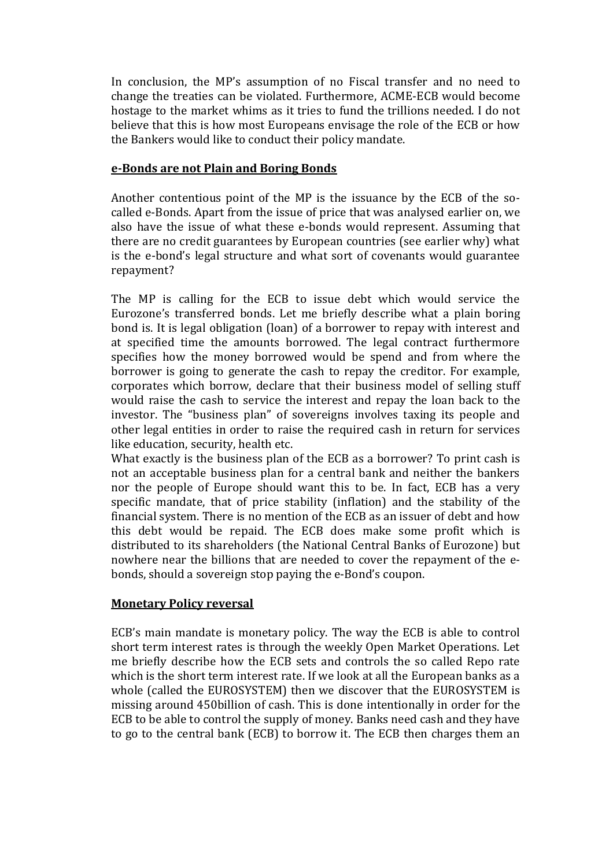In conclusion, the MP's assumption of no Fiscal transfer and no need to change the treaties can be violated. Furthermore, ACME-ECB would become hostage to the market whims as it tries to fund the trillions needed. I do not believe that this is how most Europeans envisage the role of the ECB or how the Bankers would like to conduct their policy mandate.

# **e-Bonds are not Plain and Boring Bonds**

Another contentious point of the MP is the issuance by the ECB of the socalled e-Bonds. Apart from the issue of price that was analysed earlier on, we also have the issue of what these e-bonds would represent. Assuming that there are no credit guarantees by European countries (see earlier why) what is the e-bond's legal structure and what sort of covenants would guarantee repayment?

The MP is calling for the ECB to issue debt which would service the Eurozone's transferred bonds. Let me briefly describe what a plain boring bond is. It is legal obligation (loan) of a borrower to repay with interest and at specified time the amounts borrowed. The legal contract furthermore specifies how the money borrowed would be spend and from where the borrower is going to generate the cash to repay the creditor. For example, corporates which borrow, declare that their business model of selling stuff would raise the cash to service the interest and repay the loan back to the investor. The "business plan" of sovereigns involves taxing its people and other legal entities in order to raise the required cash in return for services like education, security, health etc.

What exactly is the business plan of the ECB as a borrower? To print cash is not an acceptable business plan for a central bank and neither the bankers nor the people of Europe should want this to be. In fact, ECB has a very specific mandate, that of price stability (inflation) and the stability of the financial system. There is no mention of the ECB as an issuer of debt and how this debt would be repaid. The ECB does make some profit which is distributed to its shareholders (the National Central Banks of Eurozone) but nowhere near the billions that are needed to cover the repayment of the ebonds, should a sovereign stop paying the e-Bond's coupon.

# **Monetary Policy reversal**

ECB's main mandate is monetary policy. The way the ECB is able to control short term interest rates is through the weekly Open Market Operations. Let me briefly describe how the ECB sets and controls the so called Repo rate which is the short term interest rate. If we look at all the European banks as a whole (called the EUROSYSTEM) then we discover that the EUROSYSTEM is missing around 450billion of cash. This is done intentionally in order for the ECB to be able to control the supply of money. Banks need cash and they have to go to the central bank (ECB) to borrow it. The ECB then charges them an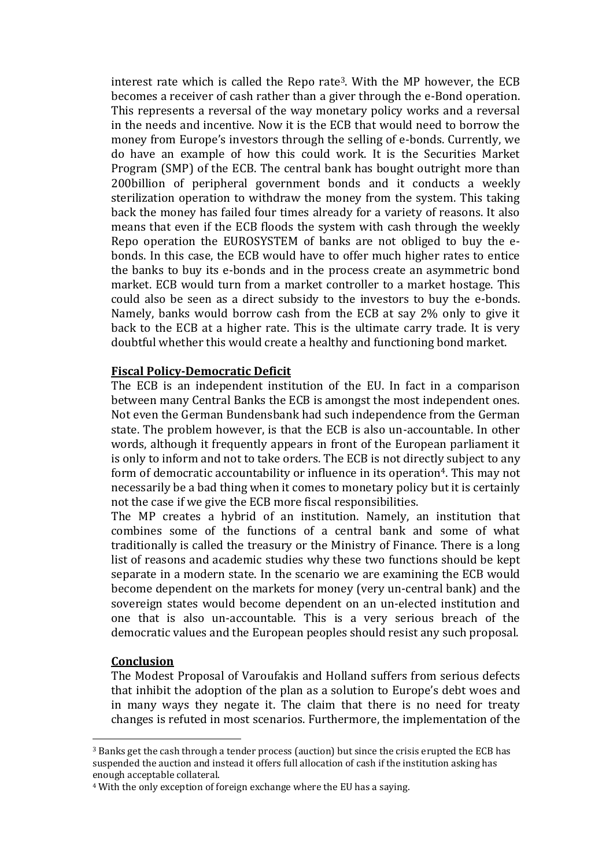interest rate which is called the Repo rate3. With the MP however, the ECB becomes a receiver of cash rather than a giver through the e-Bond operation. This represents a reversal of the way monetary policy works and a reversal in the needs and incentive. Now it is the ECB that would need to borrow the money from Europe's investors through the selling of e-bonds. Currently, we do have an example of how this could work. It is the Securities Market Program (SMP) of the ECB. The central bank has bought outright more than 200billion of peripheral government bonds and it conducts a weekly sterilization operation to withdraw the money from the system. This taking back the money has failed four times already for a variety of reasons. It also means that even if the ECB floods the system with cash through the weekly Repo operation the EUROSYSTEM of banks are not obliged to buy the ebonds. In this case, the ECB would have to offer much higher rates to entice the banks to buy its e-bonds and in the process create an asymmetric bond market. ECB would turn from a market controller to a market hostage. This could also be seen as a direct subsidy to the investors to buy the e-bonds. Namely, banks would borrow cash from the ECB at say 2% only to give it back to the ECB at a higher rate. This is the ultimate carry trade. It is very doubtful whether this would create a healthy and functioning bond market.

# **Fiscal Policy-Democratic Deficit**

The ECB is an independent institution of the EU. In fact in a comparison between many Central Banks the ECB is amongst the most independent ones. Not even the German Bundensbank had such independence from the German state. The problem however, is that the ECB is also un-accountable. In other words, although it frequently appears in front of the European parliament it is only to inform and not to take orders. The ECB is not directly subject to any form of democratic accountability or influence in its operation<sup>4</sup>. This may not necessarily be a bad thing when it comes to monetary policy but it is certainly not the case if we give the ECB more fiscal responsibilities.

The MP creates a hybrid of an institution. Namely, an institution that combines some of the functions of a central bank and some of what traditionally is called the treasury or the Ministry of Finance. There is a long list of reasons and academic studies why these two functions should be kept separate in a modern state. In the scenario we are examining the ECB would become dependent on the markets for money (very un-central bank) and the sovereign states would become dependent on an un-elected institution and one that is also un-accountable. This is a very serious breach of the democratic values and the European peoples should resist any such proposal.

# **Conclusion**

 $\overline{\phantom{a}}$ 

The Modest Proposal of Varoufakis and Holland suffers from serious defects that inhibit the adoption of the plan as a solution to Europe's debt woes and in many ways they negate it. The claim that there is no need for treaty changes is refuted in most scenarios. Furthermore, the implementation of the

<sup>3</sup> Banks get the cash through a tender process (auction) but since the crisis erupted the ECB has suspended the auction and instead it offers full allocation of cash if the institution asking has enough acceptable collateral.

<sup>4</sup> With the only exception of foreign exchange where the EU has a saying.